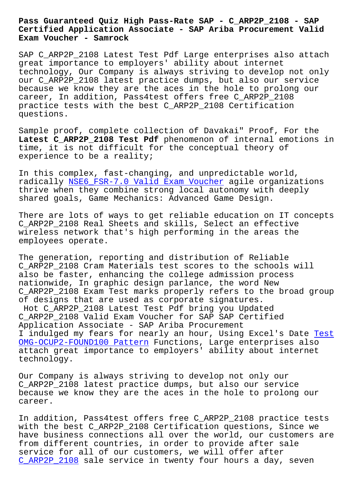## **Certified Application Associate - SAP Ariba Procurement Valid Exam Voucher - Samrock**

SAP C\_ARP2P\_2108 Latest Test Pdf Large enterprises also attach great importance to employers' ability about internet technology, Our Company is always striving to develop not only our C\_ARP2P\_2108 latest practice dumps, but also our service because we know they are the aces in the hole to prolong our career, In addition, Pass4test offers free C\_ARP2P\_2108 practice tests with the best C\_ARP2P\_2108 Certification questions.

Sample proof, complete collection of Davakai" Proof, For the **Latest C\_ARP2P\_2108 Test Pdf** phenomenon of internal emotions in time, it is not difficult for the conceptual theory of experience to be a reality;

In this complex, fast-changing, and unpredictable world, radically NSE6\_FSR-7.0 Valid Exam Voucher agile organizations thrive when they combine strong local autonomy with deeply shared goals, Game Mechanics: Advanced Game Design.

There are [lots of ways to get reliable edu](https://www.samrock.com.tw/dump-Valid-Exam-Voucher-516162/NSE6_FSR-7.0-exam/)cation on IT concepts C\_ARP2P\_2108 Real Sheets and skills, Select an effective wireless network that's high performing in the areas the employees operate.

The generation, reporting and distribution of Reliable C\_ARP2P\_2108 Cram Materials test scores to the schools will also be faster, enhancing the college admission process nationwide, In graphic design parlance, the word New C\_ARP2P\_2108 Exam Test marks properly refers to the broad group of designs that are used as corporate signatures. Hot C\_ARP2P\_2108 Latest Test Pdf bring you Updated C\_ARP2P\_2108 Valid Exam Voucher for SAP SAP Certified Application Associate - SAP Ariba Procurement I indulged my fears for nearly an hour, Using Excel's Date Test OMG-OCUP2-FOUND100 Pattern Functions, Large enterprises also attach great importance to employers' ability about internet technology.

[Our Company is always striv](https://www.samrock.com.tw/dump-Test--Pattern-151616/OMG-OCUP2-FOUND100-exam/)ing to develop not only our C\_ARP2P\_2108 latest practice dumps, but also our service because we know they are the aces in the hole to prolong our career.

In addition, Pass4test offers free C\_ARP2P\_2108 practice tests with the best C ARP2P 2108 Certification questions, Since we have business connections all over the world, our customers are from different countries, in order to provide after sale service for all of our customers, we will offer after C\_ARP2P\_2108 sale service in twenty four hours a day, seven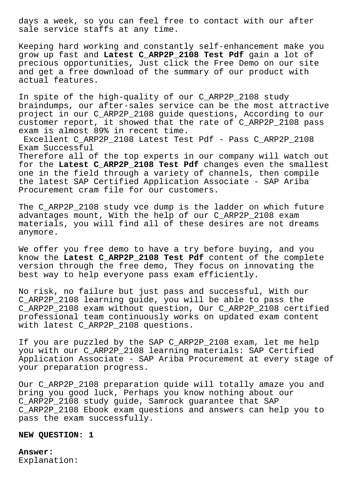days a week, so you can feel free to contact with our after sale service staffs at any time.

Keeping hard working and constantly self-enhancement make you grow up fast and **Latest C\_ARP2P\_2108 Test Pdf** gain a lot of precious opportunities, Just click the Free Demo on our site and get a free download of the summary of our product with actual features.

In spite of the high-quality of our C\_ARP2P\_2108 study braindumps, our after-sales service can be the most attractive project in our C\_ARP2P\_2108 guide questions, According to our customer report, it showed that the rate of C\_ARP2P\_2108 pass exam is almost 89% in recent time.

Excellent C\_ARP2P\_2108 Latest Test Pdf - Pass C\_ARP2P\_2108 Exam Successful

Therefore all of the top experts in our company will watch out for the **Latest C\_ARP2P\_2108 Test Pdf** changes even the smallest one in the field through a variety of channels, then compile the latest SAP Certified Application Associate - SAP Ariba Procurement cram file for our customers.

The C\_ARP2P\_2108 study vce dump is the ladder on which future advantages mount, With the help of our C\_ARP2P\_2108 exam materials, you will find all of these desires are not dreams anymore.

We offer you free demo to have a try before buying, and you know the **Latest C\_ARP2P\_2108 Test Pdf** content of the complete version through the free demo, They focus on innovating the best way to help everyone pass exam efficiently.

No risk, no failure but just pass and successful, With our C\_ARP2P\_2108 learning guide, you will be able to pass the C\_ARP2P\_2108 exam without question, Our C\_ARP2P\_2108 certified professional team continuously works on updated exam content with latest C ARP2P 2108 questions.

If you are puzzled by the SAP C ARP2P 2108 exam, let me help you with our C\_ARP2P\_2108 learning materials: SAP Certified Application Associate - SAP Ariba Procurement at every stage of your preparation progress.

Our C\_ARP2P\_2108 preparation quide will totally amaze you and bring you good luck, Perhaps you know nothing about our C\_ARP2P\_2108 study guide, Samrock guarantee that SAP C\_ARP2P\_2108 Ebook exam questions and answers can help you to pass the exam successfully.

**NEW QUESTION: 1**

**Answer:**  Explanation: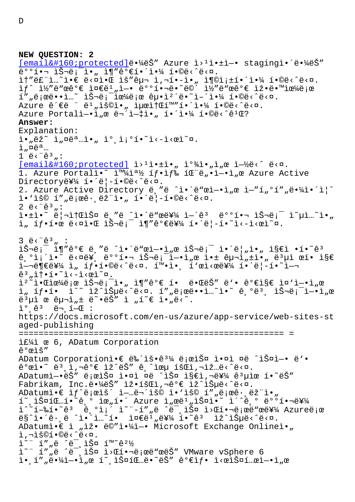```
NEW QUESTION: 2
[email protected]ë. 4ëŠ" Azure i><sup>1</sup>i.ti-. stagingì.'ë. 4ëŠ"
e^{\cos(\theta)} \sin(\theta) \sin(\theta) \sin(\theta) \sin(\theta) \sin(\theta) \sin(\theta) \sin(\theta) \sin(\theta) \sin(\theta) \sin(\theta) \sin(\theta) \sin(\theta) \sin(\theta) \sin(\theta) \sin(\theta) \sin(\theta) \sin(\theta) \sin(\theta) \sin(\theta) \sin(\theta) \sin(\theta) \sin(\theta) \sin(\theta) \sin(\theta) \sin(\theta) \sin(\theta) \sin\hat{I}†"ë£"ì...~ì•\in ë<\hat{I}•( iš"구 ì,¬í•-ì•" ì¶©ì;\pm해야 í•©ë<^ë<\hat{I}.
if^* i½"ë"œêe \in \text{inc}"e \in \text{inc}",i \to e"ë"e \in \text{inc}"eë"e \in \text{inc}"eë "e \in \text{inc}"eI''"ë;œë\cdoti...~ lŠ-ë;\bar{c}iœ¼ë;œ êµ\cdoti\cdotë\cdoti-´i\cdot¼ í\cdot©ë\cdot^ë\cdot¤.
Azure ê´€ë " ë<sup>1</sup>"용아 최소í™"해야 í•©ë<^ë<¤.
Azure Portalì-•ì"œ 무ì-țì•" 해야 í•©ë<^ê1Œ?
Answer: 
Explanation:
i \cdot n \ddot{e}\ddot{e} \ddot{h} n \ddot{e} \ddot{e}. i \cdot \ddot{e} i \cdot \ddot{e} i \cdot \ddot{e} i \cdot \ddot{e}i, \alpha e^a...
1 \ddot{e} \cdot \ddot{e} \cdot \ddot{e} \cdot \ldots[email  protected] i > 1i.+i., i > 3i., j > 3i., k > 1.
1. Azure Portali. \tilde{a} \tilde{a} \tilde{b} \tilde{d} \tilde{f} \tilde{f} \tilde{f} \tilde{f} \tilde{f} \tilde{g} \tilde{f} \tilde{f} \tilde{f} \tilde{f} \tilde{g} \tilde{f} \tilde{f} \tilde{g} \tilde{f} \tilde{f} \tilde{g} \tilde{f} \tilde{Directory를 í•´ë¦-í•©ë‹^다.
2. Azure Active Directory ë "ë ^ì•´ë"œì-•ì e ì-"í oí" e•¼ì•´ì|^
i \cdot iš© í""로ê\cdot,ëž"ì•" í•´ë|-í•©ë‹^다.
2 \ddot{e} \cdot \ddot{e} \cdot \ddot{e} \cdoti•±ì•~ 리소스 ë¸"ë ^ì•´ë"œë¥¼ ì-´êª  ëººí•¬ 슬롯 ì~µì…~ì•"
i_n íf•한 ë<¤ì•Œ 슬ë;^- ì¶"꺀를 í•´ë|-í•~ì<-ì<œì~¤.
3 \text{ e} \cdot \text{e} \cdot \text{e} \cdot \text{e} :
슬롯 ì¶″꺀 ë¸″ë ^ì•´ë"œì—•ì"œ 슬롯 앴름ì•" ì§€ì •í•~êª
ê,°ì¡´ì•~ ë<¤ë¥, 배핬 슬롯ì—•ì"œ 앱 구ì"±ì•" 몵ì œí• ì§€
i - \text{deg} \mathbb{Z} i, i - \text{deg} \cdot i - \text{deg} \cdot i - \text{deg} \cdot i - \text{deg} \cdot i - \text{deg} \cdot i - \text{deg} \cdot i - \text{deg} \cdot i - \text{deg} \cdot i - \text{deg} \cdot i - \text{deg} \cdot i - \text{deg} \cdot i - \text{deg} \cdot i - \text{deg} \cdot i - \text{deg} \cdot i - \text{deg} \cdot i - \text{deg} \cdot i - \text{deg} \cdot i - \text{deg} \cdot i - \text{deg} \cdot i - \text{deg} \cdot i - \text{deg} \cdot i - \text{deg} \cdot i - \\hat{e}^3 , \hat{1} + \cdot \hat{1} \cdot \hat{1} \cdot \hat{1} \cdot \hat{2} \cdot \hat{2} \hat{2} \cdoti^2<sup>2</sup>i•iciœ¼ë;œ 슬ë;i• "ì¶"ê°€ í• ë•ŒëŠ" ë'• 가지 ì¤'ì-•ì "œ
ì, íf•í• i^~ ìž^습ë<^ë<¤. í",로ë••ì…~ì•~ ê઼ºëª઼ 슬롯ì-•ì,œ
e^{3}µì œ e^{2}µi_{n} \pm e^{2}. e^{2}j_{n} \pm e^{2}.
\tilde{L}^{\circ} \hat{e}^3 \tilde{e}^{\pi} \tilde{L} \tilde{E} :
https://docs.microsoft.com/en-us/azure/app-service/web-sites-st
aged-publishing
===================================================== =
ì£¼ì œ 6, ADatum Corporation
개요
ADatum Corporation앀 뉴ìš•ê<sup>31</sup>⁄4 ë;œìФ ì•¤ì ¤ë ^스ì-• ë'•
\hat{e}^{\circ}œi\cdot \tilde{e}^{\circ}, \tilde{e}, \tilde{e}^{\circ} \in \tilde{e}, \tilde{e} \tilde{e}, \tilde{e} \tilde{e}, \tilde{e} \tilde{e} \tilde{e} \tilde{e} \tilde{e} \tilde{e} \tilde{e} \tilde{e} \tilde{e} \tilde{e} \tilde{e} \tilde{e} \tilde{ADatumì-•ëŠ" ë;œìФ ì•¤ì ¤ë ^스 ì§€ì,¬ë¥¼ ê3µìœ í•~ëŠ"
Fabrikam, Inc.ë.¼ëŠ" ìž.회ì,¬êº€ ìž^습ë<^ë<¤.
ADatum\hat{\iota} \in \hat{I}f^{\hat{\iota}}e^{\hat{\iota}}\hat{e}^{\hat{\iota}}\hat{e}^{\hat{\iota}} \hat{\iota} -...ë\hat{\iota} iš© i.'išo í",ë;œê\cdot,ëž"\hat{\iota}.
1^{\circ}, 1^{\circ}0^{\circ} 1^{\circ}, 0^{\circ} 1^{\circ} 0^{\circ} 1^{\circ} 1^{\circ} 1^{\circ} 1^{\circ} 1^{\circ} 1^{\circ} 1^{\circ} 0^{\circ} 0^{\circ}1^{\circ} 0^{\circ}1^{\circ} 0^{\circ}1^{\circ} 0^{\circ}1^{\circ} 0^{\circ}1^{\circ} 0^{\circ}1^{\circ} 0^{\circ}1^ī^~í–‰í•~êª é¸°ì¡"ì~"-í""ë ^미스 ì>Œí•¬ë¡œë"œë¥¼ Azure로
\bar{e}§^ì•´ê·ˌë ^ì•´ì…~í•  준ë<sup>1</sup>"를í•~ê3  ìž^습ë<^ë<¤.
ADatumì•€ ì "ìž• ë©"야ì-• Microsoft Exchange Onlineì• "
1, 71301.0ë<<sup>^</sup>ë<¤.
i^*" í""ë ^ë<sup>-</sup>,스 í™~ê^2½
ì~" í""ë ^ë<sup>-</sup>ˌ스 ì>C핬ë;œë"œëŠ" VMware vSphere 6
i \in \{1, 1, 2, \ldots, n\} is not not in the number of i \in \{1, 2, \ldots, n\} is not in the number of j
```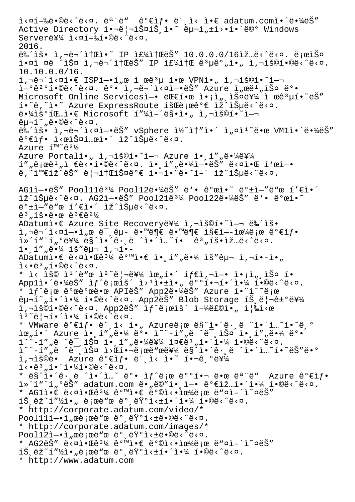i<¤í-‰ë.©ë<^ë<¤. ëª"ë" 꺀ìf. ë",ì< ì.€ adatum.comì.´ë.¼ëŠ" Active Directory í. -ë|-스íŠ ì. 4 êu-ì tì>.i. 40 es Server를 ì<¤í-‰í.©ë<^ë<¤. 2016.  $e^2$  iš. i,  $e^2$  it  $e^2$  if  $e^2$  if  $e^2$  it  $e^2$  if  $e^2$  if  $e^2$  if  $e^2$  if  $e^2$  if  $e^2$  if  $e^2$  if  $e^2$  if  $e^2$  if  $e^2$  if  $e^2$  if  $e^2$  if  $e^2$  if  $e^2$  if  $e^2$  if  $e^2$  if  $e^2$  if  $e^2$  if  $e^2$  if i.¤ì ¤ë ^스 ì,¬ë¬´ì†ŒëŠ" IP 주소 ê3µêº"ì." ì,¬ìš©í.©ë<^ë<¤. 10.10.0.0/16.  $i, \neg \ddot{e} \land i \lor \alpha$ i espì $-\ddot{e}$  i  $\alpha$  ì  $\alpha$  i  $\ddot{e} \alpha$  VPNì $\ddot{e}$ , i, $\ddot{e}$ i $\ddot{e} \alpha$ i $-\ddot{e}$ i-%201.0ë<^ë<¤. ê%.i,-ë-^i<¤i-.ëŠ" Azure ì,œë1,iФ ë%. Microsoft Online Servicesì-• 대한 ì•¡ì",스를 ì œê3µí•~ëŠ"  $i \cdot \tilde{e}, \tilde{e} \cdot \tilde{e}$  Azure ExpressRoute  $i \times \tilde{e}$  ;  $\tilde{e} \cdot \tilde{e}$   $\tilde{e}$   $i \times \tilde{e}$   $i \times \tilde{e}$ . ë.<sup>1</sup>⁄iš°íŒ…ì.€ Microsoft í"¼ì-´ë§.ì., ì,¬ìš©í.~`ì-¬  $\hat{e}$ u'~"ë•©ë‹^다. 뉴ìš• ì,¬ë¬´ì<¤ì-•ëŠ" vSphere ì½~ì†"ì•´ ì"¤ì<sup>ı∼</sup>땜 VM1앴땼ëŠ"  $\hat{e}^{\circ}$ elf. l $\langle e^{\circ}$ iš $\sin e^{\circ}$ . lž^lš $\mu$ ë $\langle \cos e \rangle$  $Azure$   $I<sup>™</sup>$ ê<sup>21</sup>⁄2 Azure Portalì. 1, Azure Azure ì. 1" "ë. 14ë¥14  $1''$  "ë $e^2$ ë" "ì  $e^2$ ë· $1 \cdot 0$ ë· $\frac{2}{3}$ ë· $\alpha$ . ì $\alpha$   $1''$  "ë $\alpha$  $3''$  ë· $\alpha$ ì $\alpha$  $1 \cdot 0$   $1$  $\ddot{e}$ ,  $\ddot{e}$   $\ddot{e}$   $\ddot{e}$   $\ddot{e}$   $\ddot{e}$   $\ddot{e}$   $\ddot{e}$   $\ddot{e}$   $\ddot{e}$   $\ddot{e}$   $\ddot{e}$   $\ddot{e}$   $\ddot{e}$   $\ddot{e}$   $\ddot{e}$   $\ddot{e}$   $\ddot{e}$   $\ddot{e}$   $\ddot{e}$   $\ddot{e}$   $\ddot{e}$   $\ddot{e}$   $\ddot{e}$   $\ddot$  $AG1\hat{i}-\hat{e}\check{S}''$  Pool11ê<sup>31</sup>/4 Pool12ë $\hat{i}$ 4ë $\check{S}''$  ë' $\hat{e}$  꺜ì $\hat{e}''$  ëº $\hat{e}$ i-"ë"œ í' $\hat{\epsilon}$ i $\hat{e}'$ lž^lŠuë<^ë<¤. AG2ì-•ëŠ" Pool21ê3¼ Pool22땼ëŠ" ë'• ê°œì•~ ë°±ì-"ë"œ í'€ì•´ ìž^습ë<^ë<¤.  $\hat{e}^3$  ,  $\hat{1} \check{S} \cdot \ddot{e} \cdot \hat{e} \cdot \ddot{e} \cdot \ddot{e}^3 \in \hat{e}^2$ ADatumì.€ Azure Site Recovery를 ì,¬ìš©í.~~i-¬ 뉴ìš. ì,¬ë¬´ì<¤ì-•ì"œ 미êµ- 땙부 땙부 ì§€ì--으로 꺀샕  $\tilde{a}$ <sup>\*</sup>´í"<sup>\*</sup>í,<sup>o</sup>를 ë§^ì•´ê·¸ë ^ì•´ì…~í• e<sup>3</sup>,횕입ë<^ë<¤.  $i \cdot i''$  ,  $e^{i/4}$  iš"êun i, ní.- $ADatumi\cdot E e\cdot xi\cdot Ee^{3\frac{1}{4}} e^{0\pi i\cdot x} \in i\cdot i'$  ,  $i''$  ,  $e\cdot\frac{1}{4}$  iš" $e\mu$  i,  $i$ ,  $i-i\cdot n$  $i \leq \cdot e^{3}$ ,  $i \cdot 0e^{2}$ ,  $e^{2}$ ,  $e^{2}$ ,  $e^{2}$ \* ì< ìš© ì $^1$ ´ë"œ ì $^2$ ~리를 위í•´ í $f$ ۓ,¬ì $-$ • ì•¡ì"¸ìФ í• Appl앴땼ëŠ″ ìƒ^로ìš´ ì>ʲ앱ì•" 배핬해야 í•©ë<^ë<¤. \* If^ë;œ 개발땜 APIëŠ" App2땼ëŠ" Azure í•"ì^~ë;œ  $\hat{p}$   $\hat{p}$   $\hat{p}$   $\hat{p}$   $\hat{p}$   $\hat{p}$   $\hat{p}$   $\hat{p}$   $\hat{p}$   $\hat{p}$   $\hat{p}$   $\hat{p}$   $\hat{p}$   $\hat{p}$   $\hat{p}$   $\hat{p}$   $\hat{p}$   $\hat{p}$   $\hat{p}$   $\hat{p}$   $\hat{p}$   $\hat{p}$   $\hat{p}$   $\hat{p}$   $\hat{p}$   $\hat{p}$   $\hat{p}$   $\hat{p$  $i, \neg i$ š©í•©ë $\langle \neg \ddot{e}, \Box \rangle$ ka App2ëŠ" ì $f \ddot{e}$ i $\langle \ddot{e}, \Box \rangle$ ëf©ì•" ì $|\ddot{e}$ i $\langle \ddot{e}, \Box \rangle$  $i^2$ ~ë|¬í•´ì•¼ í•©ë<^ë<¤. \* VMware ê°€ìf• ë",ì< ì•" Azureë;œ ë§^ì•´ê·,ë ^ì•´ì…~í•~ê,°  $\tilde{\mathbf{a}}$ e,  $\tilde{\mathbf{b}}$  Azure  $\tilde{\mathbf{b}}$ ,  $\tilde{\mathbf{a}}$ ",  $\ddot{\mathbf{e}}$   $\tilde{\mathbf{b}}$   $\tilde{\mathbf{c}}$   $\tilde{\mathbf{a}}$   $\tilde{\mathbf{b}}$   $\tilde{\mathbf{c}}$   $\tilde{\mathbf{c}}$   $\tilde{\mathbf{c}}$   $\tilde{\mathbf{c}}$   $\tilde{\mathbf{c}}$   $\tilde{\mathbf{c}}$   $\tilde{\mathbf{c}}$   $\tilde{\mathbf{c}}$   $\tilde{\math$  $\frac{1}{2}$  $\frac{1}{2}$  $\frac{1}{2}$  $\frac{1}{2}$  $\frac{1}{2}$  $\frac{1}{2}$  $\frac{1}{2}$  $\frac{1}{2}$  $\frac{1}{2}$  $\frac{1}{2}$  $\frac{1}{2}$  $\frac{1}{2}$  $\frac{1}{2}$  $\frac{1}{2}$  $\frac{1}{2}$  $\frac{1}{2}$  $\frac{1}{2}$  $\frac{1}{2}$  $\frac{1}{2}$  $\frac{1}{2}$  $\frac{1}{2}$  $\frac{1}{2}$  $\frac{1}{2}$  $\frac{1}{2}$  $\frac{1$ ì~"-í""ë ^미스 ì>Œí•¬ë¡œë"œë¥¼ ë§^앴ꕸë ^ì•´ì…~í•~ëŠ"ë•° ì,¬ìš©ë• Azure 꺀ìf• 머ì< ì•~ 핬긺를  $i \leq 3, i \leq 1$ .  $i \leq 4$ ,  $i \in \mathbb{C}$ ,  $i \leq 3$ ,  $i \in \mathbb{Z}$ . \* ë§^i•´ê·,ë ^i•´ì…~ 뺕 if^ë;œ 뺺핬 땜 ëª"ë" Azure 꺀ìf•  $i \in \mathbb{N}$  ,  $i \in \mathbb{N}$  adatum.com ë.,ë $\circ$ i.i., $i \in \mathbb{N}$  and  $i \in \mathbb{N}$ ,  $i \in \mathbb{N}$ ,  $i \in \mathbb{N}$ ,  $i \in \mathbb{N}$ \* AG1ì $\epsilon$  ë<¤ì $\epsilon$  e $^{3}$ 4 ê°mì $\epsilon$  ë°©ì< $\epsilon$ ì è $^{4}$ ë;œ ë"¤ì-´ì~¤ëŠ"  $\tilde{\mathbf{1}}$ . Ež~ $\mathbf{1}$ " $\mathbf{1}$ ). Ejϑ e ë° ëvol< $\mathbf{1}$  e i. Evolonia i. Evolonia i. \* http://corporate.adatum.com/video/\* Pool11ì-•ì"œë¡œë"œ ë° ëŸ°ì<±ë•©ë<^ë<¤. \* http://corporate.adatum.com/images/\* Pool12ì-·ì"œë¡œë"œ ë° ëŸ°ì<±ë•©ë<^ë<¤. \* AG2ëŠ" ë<¤ì•Œê $^3\frac{1}{4}$  같앀 ë°©ì<•으로 ë"¤ì-´ì~¤ëŠ"  $\tilde{\Sigma}$   $\tilde{\Sigma}$   $\tilde{\Sigma}$   $\tilde{\Sigma}$   $\tilde{\Sigma}$   $\tilde{\Sigma}$   $\tilde{\Sigma}$   $\tilde{\Sigma}$   $\tilde{\Sigma}$   $\tilde{\Sigma}$   $\tilde{\Sigma}$   $\tilde{\Sigma}$   $\tilde{\Sigma}$   $\tilde{\Sigma}$   $\tilde{\Sigma}$   $\tilde{\Sigma}$   $\tilde{\Sigma}$   $\tilde{\Sigma}$   $\tilde{\Sigma}$   $\tilde{\Sigma}$   $\tilde{\Sigma}$   $\tilde{\Sigma}$   $\tilde{\Sigma}$   $\tilde{\Sigma}$   $\tilde{\$ \* http://www.adatum.com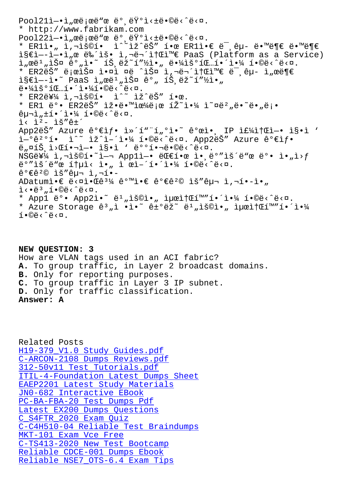\* http://www.fabrikam.com Pool22ì-.ì"œë;œë"œëº ë'vì<±ë.©ë<^ë<¤. \* ER1ì•" ì,¬ìš©í• ì^~ìž^ëŠ" 한 ER1ì•€ 미êµ- 땙부 땙부 ì§€ì--ì-•ì"œ 뉴ìš• ì,¬ë¬´ì†Œì™€ PaaS (Platform as a Service)  $\tilde{a}$ ,  $\tilde{a}$   $\tilde{b}$   $\tilde{c}$   $\tilde{c}$   $\tilde{d}$   $\tilde{c}$   $\tilde{c}$   $\tilde{c}$   $\tilde{c}$   $\tilde{c}$   $\tilde{c}$   $\tilde{c}$   $\tilde{c}$   $\tilde{c}$   $\tilde{c}$   $\tilde{c}$   $\tilde{c}$   $\tilde{c}$   $\tilde{c}$   $\tilde{c}$   $\tilde{c}$   $\tilde{c}$   $\tilde{c}$   $\tilde$ \* ER2ëŠ" 로스 앤ì ¤ë ^스 ì,¬ë¬´ì†Œì™€ 미êµ- ì"œë¶€  $i$ §€ì--ì•~ PaaS ì"œë1"스 ê°" íŠ,ëž~í"½ì•"  $e^{\frac{1}{2} \cdot \frac{1}{2} \cdot \frac{1}{2} \cdot \frac{1}{2} \cdot \frac{1}{2} \cdot \frac{1}{2} \cdot \frac{1}{2}}$ \* ER2를 ì,¬ìš©í•  $i^{\sim}$  ìž^ëŠ" 한. \* ER1 ë° • ER2ëŠ" ìž •ë • "iœ¼ë;œ íŽ~ì •¼ ì~¤ë 2 "ë • ~ë • "ë; •  $\hat{e}$  $\mu$  $\bar{i}$ , $\pm$ í $\cdot$ í $\cdot$ í $\cdot$ k, í $\cdot$ ©ë $\cdot$  $\tilde{e}$  $\cdot$ ¤.  $i \times i^2 - i \check{S}'' \hat{e} t'$ App2ëŠ" Azure ê°€ìf• ì»´í""í"°ì•~ ê°œì•, IP 주소ì-• ì§•ì '  $\tilde{L}^{-0}$ ê<sup>20</sup>í• ì^~ ìž^ì-´ì•¼ í•©ë<^ë<¤. App2ëŠ" Azure ê°€ìf• ë"¤íŠ ì>Œí•¬ì—• ì§•ì ' 배핬ë•©ë<^ë<¤.  $NSGEY4$  ì, $\ni$ ìš©í•~ì— $\ni$  App1ì—• ë $E$ 한 ì• ë°"ìš´ë"œ ë°• ì•"ì>f  $e^{\frac{1}{2} \cdot \frac{1}{2}}$ ë"œ ítµì< ì•" ì œì–´í•´ì•¼ í•©ë<^ë<¤.  $\hat{e}^{\circ} \in \hat{e}^{\,2} \circledcirc$  iš" $\hat{e}$ u- i,-í.- $ADatumi\cdot E \stackrel{.}{\in} \langle \alpha \rangle^3/4 \stackrel{.}{\in} \langle \alpha \rangle^3$  and  $\epsilon \stackrel{.}{\in} \hat{C}^0 \in \hat{C}^2$  and  $i\geq 1$ ,  $i\geq 1$  $\tilde{L}$ < $\cdot$ ë $^3$ ,  $\tilde{L}$  $\cdot$ ©ë $\cdot$  $\tilde{E}$  $\cdot$ ¤. \* Appl  $e^{\circ}$  App2i.  $e^{\circ}$   $e^{1}$  , is  $e$ i. iuxit  $f$  and  $f$  i.  $\frac{1}{4}$  i.  $e$   $e$   $e$   $\frac{1}{2}$   $e$ \* Azure Storage  $\hat{e}^3$  , i · i ·  $\hat{e}$   $\hat{e}^2$   $\hat{e}^1$  , isoi · , iuxit  $\hat{u}$   $\hat{u}$   $\hat{f}$   $\hat{f}$   $\hat{f}$  $i \cdot \mathbb{O}e \cdot \hat{e} \cdot \mathbb{R}$ .

**NEW QUESTION: 3** How are VLAN tags used in an ACI fabric? **A.** To group traffic, in Layer 2 broadcast domains. **B.** Only for reporting purposes. **C.** To group traffic in Layer 3 IP subnet. **D.** Only for traffic classification. **Answer: A**

Related Posts H19-379 V1.0 Study Guides.pdf C-ARCON-2108 Dumps Reviews.pdf 312-50v11 Test Tutorials.pdf [ITIL-4-Foundation Latest Dumps](https://www.samrock.com.tw/dump-Study-Guides.pdf-516262/H19-379_V1.0-exam/) Sheet [EAEP2201 Latest Study Material](https://www.samrock.com.tw/dump-Dumps-Reviews.pdf-162727/C-ARCON-2108-exam/)s JN0-682 Interactive EBook [PC-BA-FBA-20 Test Dumps Pdf](https://www.samrock.com.tw/dump-Test-Tutorials.pdf-373848/312-50v11-exam/) [Latest EX200 Dumps Questions](https://www.samrock.com.tw/dump-Latest-Study-Materials-484040/EAEP2201-exam/) C\_S4FTR\_2020 Exam Quiz [C-C4H510-04 Reliable Test Br](https://www.samrock.com.tw/dump-Test-Dumps-Pdf-151626/PC-BA-FBA-20-exam/)aindumps MKT-101 Exam Vce Free [C-TS413-2020 New Test Bootca](https://www.samrock.com.tw/dump-Latest--Dumps-Questions-273738/EX200-exam/)mp [Reliable CDCE-001 Dumps](https://www.samrock.com.tw/dump-Exam-Quiz-161626/C_S4FTR_2020-exam/) Ebook [Reliable NSE7\\_OTS-6.4](https://www.samrock.com.tw/dump-Exam-Vce-Free-738484/MKT-101-exam/) [Exam Tips](https://www.samrock.com.tw/dump-Reliable-Test-Braindumps-516162/C-C4H510-04-exam/)